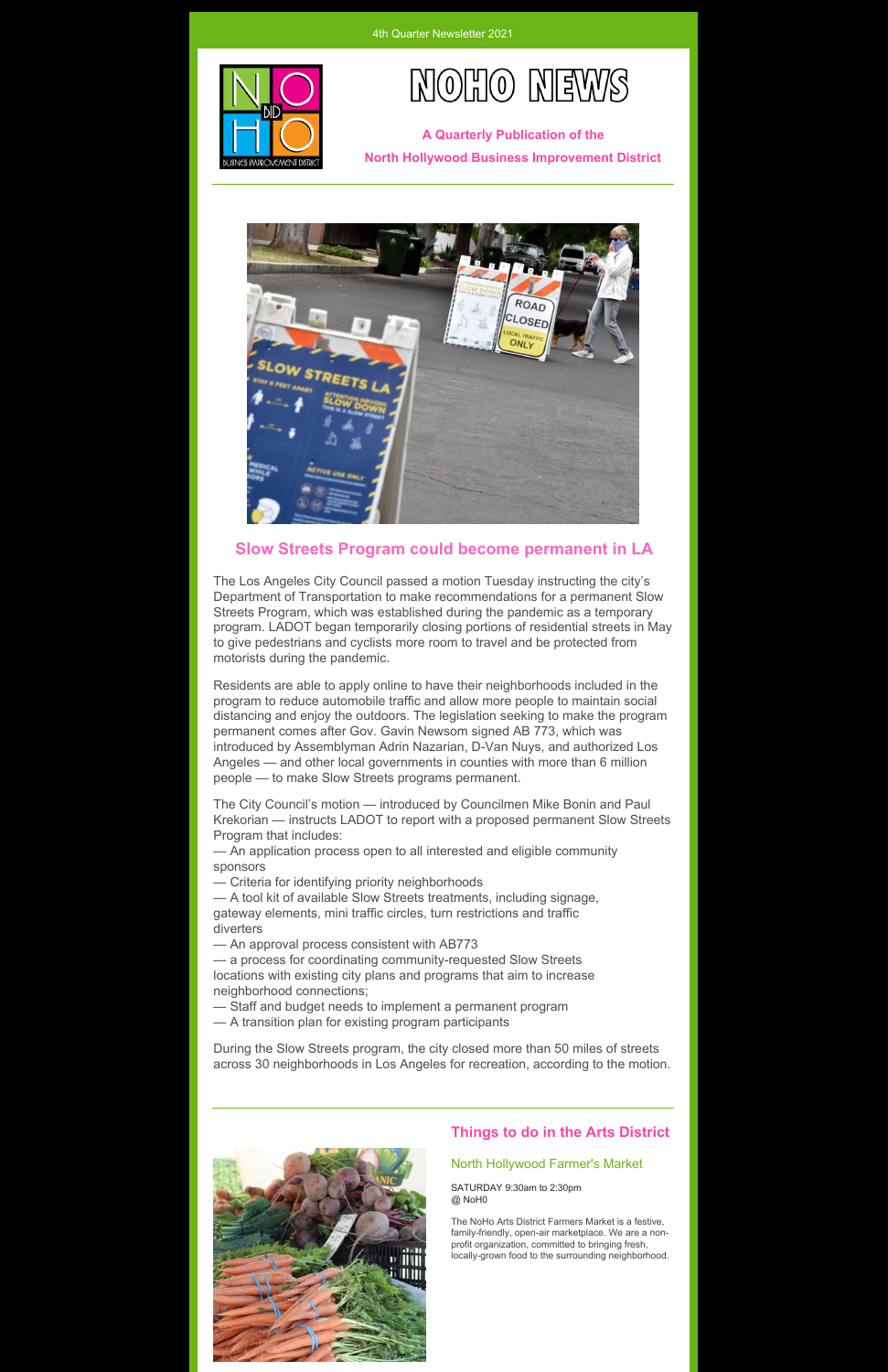



**A Quarterly Publication of the North Hollywood Business Improvement District**



## **Slow Streets Program could become permanent in LA**

The Los Angeles City Council passed a motion Tuesday instructing the city's Department of Transportation to make recommendations for a permanent Slow Streets Program, which was established during the pandemic as a temporary program. LADOT began temporarily closing portions of residential streets in May to give pedestrians and cyclists more room to travel and be protected from motorists during the pandemic.

Residents are able to apply online to have their neighborhoods included in the program to reduce automobile traffic and allow more people to maintain social distancing and enjoy the outdoors. The legislation seeking to make the program permanent comes after Gov. Gavin Newsom signed AB 773, which was introduced by Assemblyman Adrin Nazarian, D-Van Nuys, and authorized Los Angeles — and other local governments in counties with more than 6 million people — to make Slow Streets programs permanent.

The City Council's motion — introduced by Councilmen Mike Bonin and Paul Krekorian — instructs LADOT to report with a proposed permanent Slow Streets Program that includes:

— An application process open to all interested and eligible community sponsors

— Criteria for identifying priority neighborhoods

— A tool kit of available Slow Streets treatments, including signage, gateway elements, mini traffic circles, turn restrictions and traffic diverters

— An approval process consistent with AB773

— a process for coordinating community-requested Slow Streets locations with existing city plans and programs that aim to increase neighborhood connections;

Staff and budget needs to implement a permanent program

— A transition plan for existing program participants

During the Slow Streets program, the city closed more than 50 miles of streets across 30 neighborhoods in Los Angeles for recreation, according to the motion.



## **Things to do in the Arts District**

## North Hollywood Farmer's Market

SATURDAY 9:30am to 2:30pm @ NoH0

The NoHo Arts District Farmers Market is a festive, family-friendly, open-air marketplace. We are a nonprofit organization, committed to bringing fresh, locally-grown food to the surrounding neighborhood.